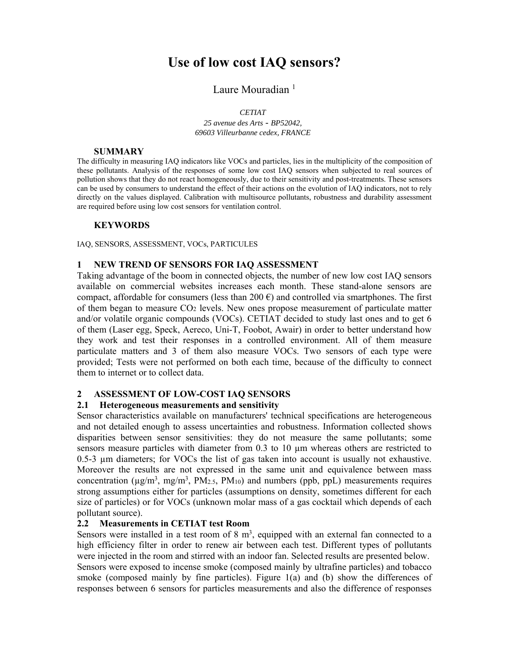# **Use of low cost IAQ sensors?**

## Laure Mouradian<sup>1</sup>

#### *CETIAT*

*25 avenue des Arts* - *BP52042, 69603 Villeurbanne cedex, FRANCE*

#### **SUMMARY**

The difficulty in measuring IAQ indicators like VOCs and particles, lies in the multiplicity of the composition of these pollutants. Analysis of the responses of some low cost IAQ sensors when subjected to real sources of pollution shows that they do not react homogeneously, due to their sensitivity and post-treatments. These sensors can be used by consumers to understand the effect of their actions on the evolution of IAQ indicators, not to rely directly on the values displayed. Calibration with multisource pollutants, robustness and durability assessment are required before using low cost sensors for ventilation control.

#### **KEYWORDS**

IAQ, SENSORS, ASSESSMENT, VOCs, PARTICULES

### **1 NEW TREND OF SENSORS FOR IAQ ASSESSMENT**

Taking advantage of the boom in connected objects, the number of new low cost IAQ sensors available on commercial websites increases each month. These stand-alone sensors are compact, affordable for consumers (less than 200  $\epsilon$ ) and controlled via smartphones. The first of them began to measure CO2 levels. New ones propose measurement of particulate matter and/or volatile organic compounds (VOCs). CETIAT decided to study last ones and to get 6 of them (Laser egg, Speck, Aereco, Uni-T, Foobot, Awair) in order to better understand how they work and test their responses in a controlled environment. All of them measure particulate matters and 3 of them also measure VOCs. Two sensors of each type were provided; Tests were not performed on both each time, because of the difficulty to connect them to internet or to collect data.

### **2 ASSESSMENT OF LOW-COST IAQ SENSORS**

### **2.1 Heterogeneous measurements and sensitivity**

Sensor characteristics available on manufacturers' technical specifications are heterogeneous and not detailed enough to assess uncertainties and robustness. Information collected shows disparities between sensor sensitivities: they do not measure the same pollutants; some sensors measure particles with diameter from 0.3 to 10  $\mu$ m whereas others are restricted to 0.5-3 µm diameters; for VOCs the list of gas taken into account is usually not exhaustive. Moreover the results are not expressed in the same unit and equivalence between mass concentration ( $\mu$ g/m<sup>3</sup>, mg/m<sup>3</sup>, PM<sub>2.5</sub>, PM<sub>10</sub>) and numbers (ppb, ppL) measurements requires strong assumptions either for particles (assumptions on density, sometimes different for each size of particles) or for VOCs (unknown molar mass of a gas cocktail which depends of each pollutant source).

## **2.2 Measurements in CETIAT test Room**

Sensors were installed in a test room of  $8 \text{ m}^3$ , equipped with an external fan connected to a high efficiency filter in order to renew air between each test. Different types of pollutants were injected in the room and stirred with an indoor fan. Selected results are presented below. Sensors were exposed to incense smoke (composed mainly by ultrafine particles) and tobacco smoke (composed mainly by fine particles). Figure 1(a) and (b) show the differences of responses between 6 sensors for particles measurements and also the difference of responses